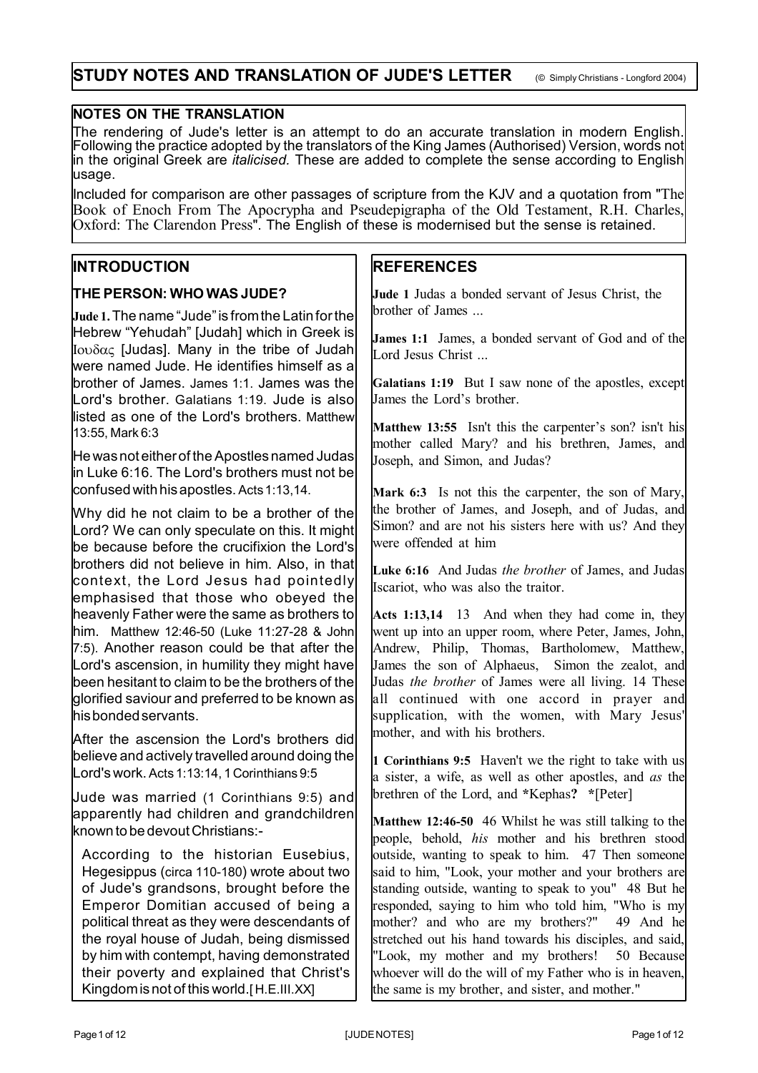# **NOTES ON THE TRANSLATION**

The rendering of Jude's letter is an attempt to do an accurate translation in modern English. Following the practice adopted by the translators of the King James (Authorised) Version, words not in the original Greek are *italicised.* These are added to complete the sense according to English usage.

Included for comparison are other passages of scripture from the KJV and a quotation from "The Book of Enoch From The Apocrypha and Pseudepigrapha of the Old Testament, R.H. Charles, Oxford: The Clarendon Press". The English of these is modernised but the sense is retained.

# **INTRODUCTION**

## **THE PERSON: WHO WAS JUDE?**

**Jude 1.** The name "Jude" is from the Latin for the Hebrew "Yehudah" [Judah] which in Greek is Iov $\delta \alpha$  [Judas]. Many in the tribe of Judah were named Jude. He identifies himself as a brother of James. James 1:1. James was the Lord's brother. Galatians 1:19. Jude is also listed as one of the Lord's brothers. Matthew 13:55, Mark 6:3

He was not either of the Apostles named Judas in Luke 6:16. The Lord's brothers must not be confused with his apostles. Acts 1:13,14.

Why did he not claim to be a brother of the Lord? We can only speculate on this. It might be because before the crucifixion the Lord's brothers did not believe in him. Also, in that context, the Lord Jesus had pointedly emphasised that those who obeyed the heavenly Father were the same as brothers to him. Matthew 12:46-50 (Luke 11:27-28 & John 7:5). Another reason could be that after the Lord's ascension, in humility they might have been hesitant to claim to be the brothers of the glorified saviour and preferred to be known as his bonded servants.

After the ascension the Lord's brothers did believe and actively travelled around doing the Lord's work. Acts 1:13:14, 1 Corinthians 9:5

Jude was married (1 Corinthians 9:5) and apparently had children and grandchildren known to be devout Christians:-

According to the historian Eusebius, Hegesippus (circa 110-180) wrote about two of Jude's grandsons, brought before the Emperor Domitian accused of being a political threat as they were descendants of the royal house of Judah, being dismissed by him with contempt, having demonstrated their poverty and explained that Christ's Kingdom is not of this world.[ H.E.III.XX]

# **REFERENCES**

**Jude 1** Judas a bonded servant of Jesus Christ, the brother of James ...

**James 1:1** James, a bonded servant of God and of the Lord Jesus Christ ...

**Galatians 1:19** But I saw none of the apostles, except James the Lord's brother.

**Matthew 13:55** Isn't this the carpenter's son? isn't his mother called Mary? and his brethren, James, and Joseph, and Simon, and Judas?

**Mark 6:3** Is not this the carpenter, the son of Mary, the brother of James, and Joseph, and of Judas, and Simon? and are not his sisters here with us? And they were offended at him

**Luke 6:16** And Judas *the brother* of James, and Judas Iscariot, who was also the traitor.

**Acts 1:13,14** 13 And when they had come in, they went up into an upper room, where Peter, James, John, Andrew, Philip, Thomas, Bartholomew, Matthew, James the son of Alphaeus, Simon the zealot, and Judas *the brother* of James were all living. 14 These all continued with one accord in prayer and supplication, with the women, with Mary Jesus' mother, and with his brothers.

**1 Corinthians 9:5** Haven't we the right to take with us a sister, a wife, as well as other apostles, and *as* the brethren of the Lord, and **\***Kephas**? \***[Peter]

**Matthew 12:46-50** 46 Whilst he was still talking to the people, behold, *his* mother and his brethren stood outside, wanting to speak to him. 47 Then someone said to him, "Look, your mother and your brothers are standing outside, wanting to speak to you" 48 But he responded, saying to him who told him, "Who is my mother? and who are my brothers?" 49 And he stretched out his hand towards his disciples, and said, "Look, my mother and my brothers! 50 Because whoever will do the will of my Father who is in heaven, the same is my brother, and sister, and mother."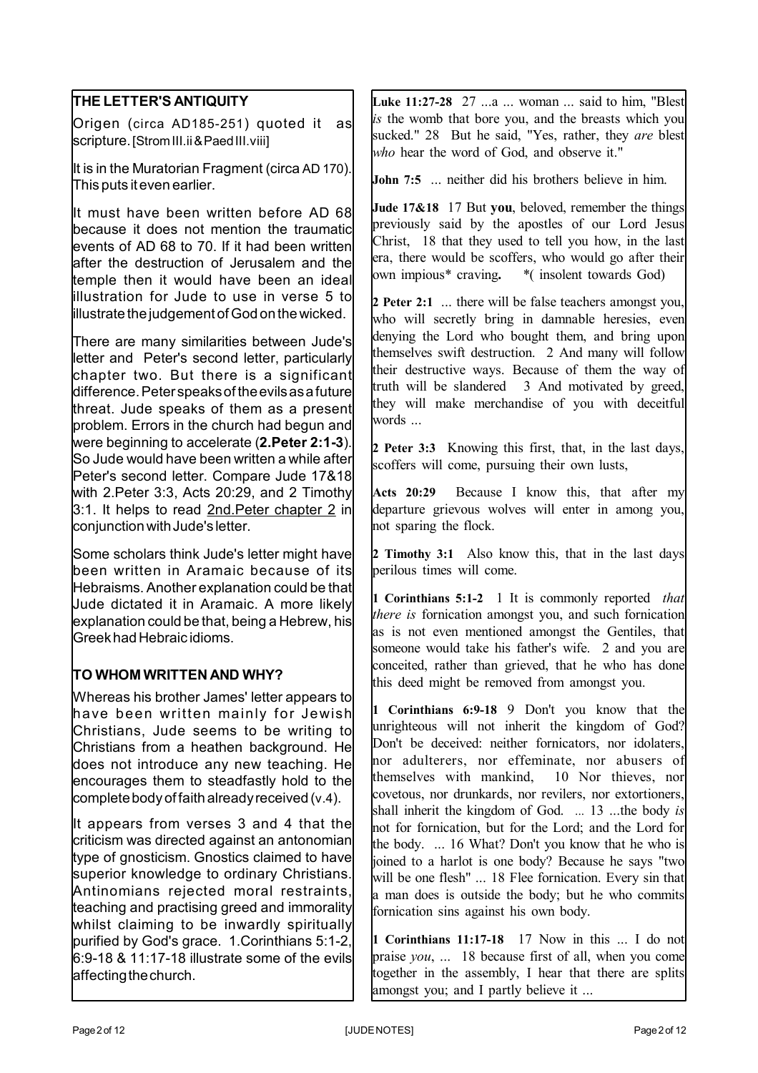| THE LETTER'S ANTIQUITY                                                                                                                                                                                                                                                                                                                    | Luke 11:27-28 27  a  woman  said to him, "Blest                                                                                                                                                                                                                                  |
|-------------------------------------------------------------------------------------------------------------------------------------------------------------------------------------------------------------------------------------------------------------------------------------------------------------------------------------------|----------------------------------------------------------------------------------------------------------------------------------------------------------------------------------------------------------------------------------------------------------------------------------|
| Origen (circa AD185-251) quoted it                                                                                                                                                                                                                                                                                                        | is the womb that bore you, and the breasts which you                                                                                                                                                                                                                             |
| as                                                                                                                                                                                                                                                                                                                                        | sucked." 28 But he said, "Yes, rather, they are blest                                                                                                                                                                                                                            |
| scripture. [Strom III.ii & Paed III.viii]                                                                                                                                                                                                                                                                                                 | who hear the word of God, and observe it."                                                                                                                                                                                                                                       |
| It is in the Muratorian Fragment (circa AD 170).<br>This puts it even earlier.                                                                                                                                                                                                                                                            | <b>John 7:5</b> neither did his brothers believe in him.                                                                                                                                                                                                                         |
| It must have been written before AD 68                                                                                                                                                                                                                                                                                                    | Jude 17&18 17 But you, beloved, remember the things                                                                                                                                                                                                                              |
| because it does not mention the traumatic                                                                                                                                                                                                                                                                                                 | previously said by the apostles of our Lord Jesus                                                                                                                                                                                                                                |
| events of AD 68 to 70. If it had been written                                                                                                                                                                                                                                                                                             | Christ, 18 that they used to tell you how, in the last                                                                                                                                                                                                                           |
| after the destruction of Jerusalem and the                                                                                                                                                                                                                                                                                                | era, there would be scoffers, who would go after their                                                                                                                                                                                                                           |
| temple then it would have been an ideal                                                                                                                                                                                                                                                                                                   | own impious* craving. * (insolent towards God)                                                                                                                                                                                                                                   |
| illustration for Jude to use in verse 5 to                                                                                                                                                                                                                                                                                                | 2 Peter 2:1  there will be false teachers amongst you,                                                                                                                                                                                                                           |
| illustrate the judgement of God on the wicked.                                                                                                                                                                                                                                                                                            | who will secretly bring in damnable heresies, even                                                                                                                                                                                                                               |
| There are many similarities between Jude's<br>letter and Peter's second letter, particularly<br>chapter two. But there is a significant<br>difference. Peter speaks of the evils as a future<br>threat. Jude speaks of them as a present<br>problem. Errors in the church had begun and<br>were beginning to accelerate (2. Peter 2:1-3). | denying the Lord who bought them, and bring upon<br>themselves swift destruction. 2 And many will follow<br>their destructive ways. Because of them the way of<br>truth will be slandered 3 And motivated by greed,<br>they will make merchandise of you with deceitful<br>words |
| So Jude would have been written a while after                                                                                                                                                                                                                                                                                             | 2 Peter 3:3 Knowing this first, that, in the last days,                                                                                                                                                                                                                          |
| Peter's second letter. Compare Jude 17&18                                                                                                                                                                                                                                                                                                 | scoffers will come, pursuing their own lusts,                                                                                                                                                                                                                                    |
| with 2. Peter 3:3, Acts 20:29, and 2 Timothy                                                                                                                                                                                                                                                                                              | Acts 20:29 Because I know this, that after my                                                                                                                                                                                                                                    |
| 3:1. It helps to read 2nd. Peter chapter 2 in                                                                                                                                                                                                                                                                                             | departure grievous wolves will enter in among you,                                                                                                                                                                                                                               |
| conjunction with Jude's letter.                                                                                                                                                                                                                                                                                                           | not sparing the flock.                                                                                                                                                                                                                                                           |
| Some scholars think Jude's letter might have                                                                                                                                                                                                                                                                                              | 2 Timothy 3:1 Also know this, that in the last days                                                                                                                                                                                                                              |
| been written in Aramaic because of its                                                                                                                                                                                                                                                                                                    | perilous times will come.                                                                                                                                                                                                                                                        |
| Hebraisms. Another explanation could be that                                                                                                                                                                                                                                                                                              | 1 Corinthians 5:1-2 1 It is commonly reported that                                                                                                                                                                                                                               |
| Jude dictated it in Aramaic. A more likely                                                                                                                                                                                                                                                                                                | there is fornication amongst you, and such fornication                                                                                                                                                                                                                           |
| explanation could be that, being a Hebrew, his                                                                                                                                                                                                                                                                                            | as is not even mentioned amongst the Gentiles, that                                                                                                                                                                                                                              |
| Greek had Hebraic idioms.                                                                                                                                                                                                                                                                                                                 | someone would take his father's wife. 2 and you are                                                                                                                                                                                                                              |
| TO WHOM WRITTEN AND WHY?                                                                                                                                                                                                                                                                                                                  | conceited, rather than grieved, that he who has done<br>this deed might be removed from amongst you.                                                                                                                                                                             |
| Whereas his brother James' letter appears to                                                                                                                                                                                                                                                                                              | 1 Corinthians 6:9-18 9 Don't you know that the                                                                                                                                                                                                                                   |
| have been written mainly for Jewish                                                                                                                                                                                                                                                                                                       | unrighteous will not inherit the kingdom of God?                                                                                                                                                                                                                                 |
| Christians, Jude seems to be writing to                                                                                                                                                                                                                                                                                                   | Don't be deceived: neither fornicators, nor idolaters,                                                                                                                                                                                                                           |
| Christians from a heathen background. He                                                                                                                                                                                                                                                                                                  | nor adulterers, nor effeminate, nor abusers of                                                                                                                                                                                                                                   |
| does not introduce any new teaching. He                                                                                                                                                                                                                                                                                                   | themselves with mankind, 10 Nor thieves, nor                                                                                                                                                                                                                                     |
| encourages them to steadfastly hold to the                                                                                                                                                                                                                                                                                                | covetous, nor drunkards, nor revilers, nor extortioners,                                                                                                                                                                                                                         |
| complete body of faith already received (v.4).                                                                                                                                                                                                                                                                                            | shall inherit the kingdom of God.  13 the body is                                                                                                                                                                                                                                |
| It appears from verses 3 and 4 that the                                                                                                                                                                                                                                                                                                   | not for fornication, but for the Lord; and the Lord for                                                                                                                                                                                                                          |
| criticism was directed against an antonomian                                                                                                                                                                                                                                                                                              | the body.  16 What? Don't you know that he who is                                                                                                                                                                                                                                |
| type of gnosticism. Gnostics claimed to have                                                                                                                                                                                                                                                                                              | joined to a harlot is one body? Because he says "two                                                                                                                                                                                                                             |
| superior knowledge to ordinary Christians.                                                                                                                                                                                                                                                                                                | will be one flesh"  18 Flee fornication. Every sin that                                                                                                                                                                                                                          |
| Antinomians rejected moral restraints,                                                                                                                                                                                                                                                                                                    | a man does is outside the body; but he who commits                                                                                                                                                                                                                               |
| teaching and practising greed and immorality                                                                                                                                                                                                                                                                                              | fornication sins against his own body.                                                                                                                                                                                                                                           |
| whilst claiming to be inwardly spiritually                                                                                                                                                                                                                                                                                                | 1 Corinthians 11:17-18 17 Now in this  I do not                                                                                                                                                                                                                                  |
| purified by God's grace. 1. Corinthians 5:1-2,                                                                                                                                                                                                                                                                                            | praise you,  18 because first of all, when you come                                                                                                                                                                                                                              |
| $6:9-18$ & 11:17-18 illustrate some of the evils                                                                                                                                                                                                                                                                                          | together in the assembly, I hear that there are splits                                                                                                                                                                                                                           |
| affecting the church.                                                                                                                                                                                                                                                                                                                     | amongst you; and I partly believe it                                                                                                                                                                                                                                             |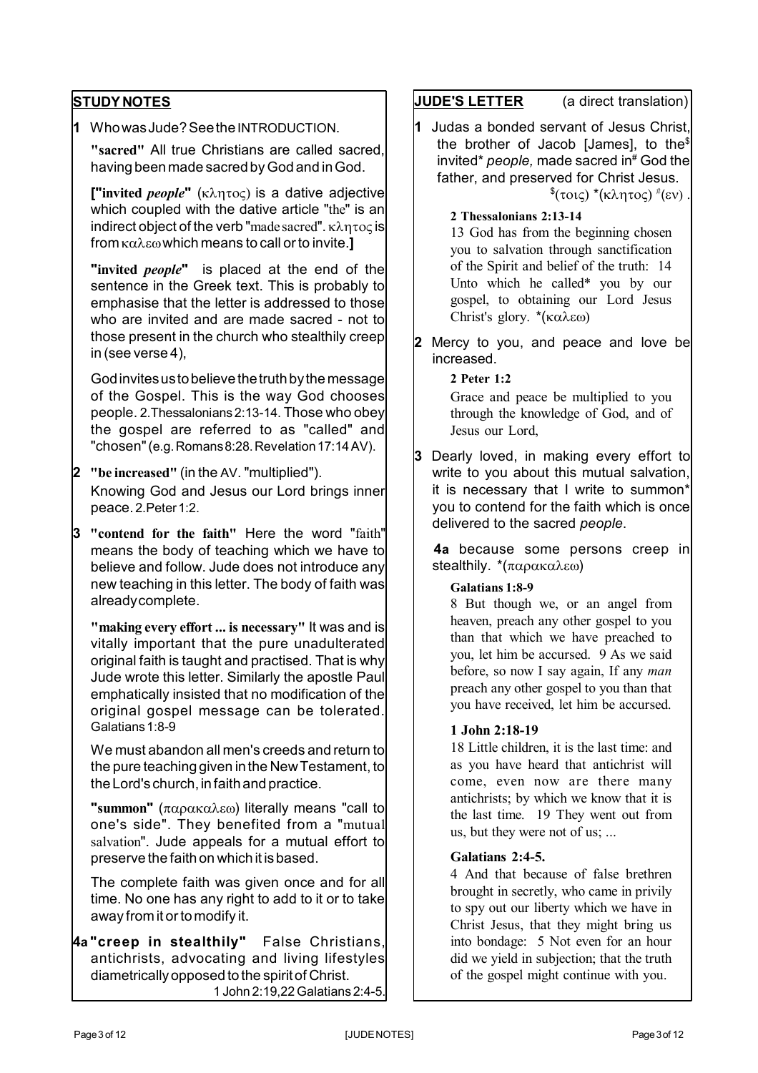# **STUDY NOTES**

**1** Who was Jude? See the INTRODUCTION.

**"sacred"** All true Christians are called sacred, having been made sacred by God and in God.

**["invited** *people***"** ( $\kappa \lambda \eta \tau o \varsigma$ ) is a dative adjective which coupled with the dative article "the" is an indirect object of the verb "made sacred".  $\kappa\lambda\eta\tau$ oc is from καλεω which means to call or to invite.]

**"invited** *people***"** is placed at the end of the sentence in the Greek text. This is probably to emphasise that the letter is addressed to those who are invited and are made sacred - not to those present in the church who stealthily creep in (see verse 4),

God invites us to believe the truth by the message of the Gospel. This is the way God chooses people. 2.Thessalonians 2:13-14. Those who obey the gospel are referred to as "called" and "chosen" (e.g. Romans 8:28. Revelation 17:14 AV).

## **2 "be increased"** (in the AV. "multiplied"). Knowing God and Jesus our Lord brings inner peace. 2. Peter 1:2.

**3 "contend for the faith"** Here the word "faith" means the body of teaching which we have to believe and follow. Jude does not introduce any new teaching in this letter. The body of faith was already complete.

**"making every effort ... is necessary"** It was and is vitally important that the pure unadulterated original faith is taught and practised. That is why Jude wrote this letter. Similarly the apostle Paul emphatically insisted that no modification of the original gospel message can be tolerated. Galatians 1:8-9

We must abandon all men's creeds and return to the pure teaching given in the New Testament, to the Lord's church, in faith and practice.

**"summon"** (παρακαλεω) literally means "call to one's side". They benefited from a "mutual salvation". Jude appeals for a mutual effort to preserve the faith on which it is based.

The complete faith was given once and for all time. No one has any right to add to it or to take away from it or to modify it.

**4a "creep in stealthily"** False Christians, antichrists, advocating and living lifestyles diametrically opposed to the spirit of Christ. 1 John 2:19,22 Galatians 2:4-5.

# **JUDE'S LETTER** (a direct translation)

**1** Judas a bonded servant of Jesus Christ, the brother of Jacob [James], to the\$ invited\* *people,* made sacred in# God the father, and preserved for Christ Jesus.

<sup>\$</sup>(τοις) \*(κλητος) <sup>#</sup>(εν).

**2 Thessalonians 2:13-14**

13 God has from the beginning chosen you to salvation through sanctification of the Spirit and belief of the truth: 14 Unto which he called\* you by our gospel, to obtaining our Lord Jesus Christ's glory.  $*(\kappa \alpha \lambda \epsilon \omega)$ 

**2** Mercy to you, and peace and love be increased.

> **2 Peter 1:2** Grace and peace be multiplied to you through the knowledge of God, and of Jesus our Lord,

**3** Dearly loved, in making every effort to write to you about this mutual salvation, it is necessary that I write to summon\* you to contend for the faith which is once delivered to the sacred *people*.

 **4a** because some persons creep in stealthily.  $*(\pi \alpha \rho \alpha \kappa \alpha \lambda \epsilon \omega)$ 

### **Galatians 1:8-9**

8 But though we, or an angel from heaven, preach any other gospel to you than that which we have preached to you, let him be accursed. 9 As we said before, so now I say again, If any *man* preach any other gospel to you than that you have received, let him be accursed.

#### **1 John 2:18-19**

18 Little children, it is the last time: and as you have heard that antichrist will come, even now are there many antichrists; by which we know that it is the last time. 19 They went out from us, but they were not of us; ...

## **Galatians 2:4-5.**

4 And that because of false brethren brought in secretly, who came in privily to spy out our liberty which we have in Christ Jesus, that they might bring us into bondage: 5 Not even for an hour did we yield in subjection; that the truth of the gospel might continue with you.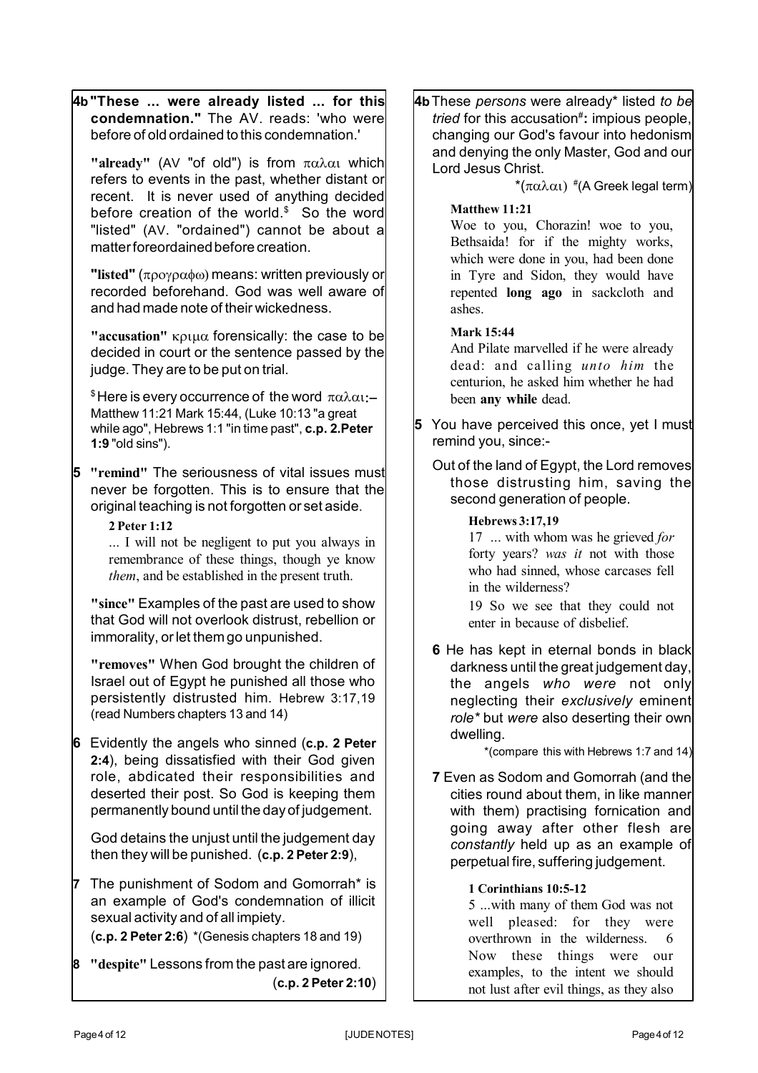**4b"These ... were already listed ... for this condemnation."** The AV. reads: 'who were before of old ordained to this condemnation.' "already" (AV "of old") is from  $\pi \alpha \lambda \alpha_1$  which refers to events in the past, whether distant or recent. It is never used of anything decided before creation of the world.\$ So the word "listed" (AV. "ordained") cannot be about a matter foreordained before creation. **"listed"** (προγραφω) means: written previously or recorded beforehand. God was well aware of and had made note of their wickedness. **"accusation"** κριμα forensically: the case to be decided in court or the sentence passed by the judge. They are to be put on trial. <sup>\$</sup> Here is every occurrence of the word  $\pi \alpha \lambda \alpha$ :-Matthew 11:21 Mark 15:44, (Luke 10:13 "a great while ago", Hebrews 1:1 "in time past", **c.p. 2.Peter 1:9** "old sins"). **5 "remind"** The seriousness of vital issues must never be forgotten. This is to ensure that the original teaching is not forgotten or set aside. **2 Peter 1:12** ... I will not be negligent to put you always in remembrance of these things, though ye know *them*, and be established in the present truth. **"since"** Examples of the past are used to show that God will not overlook distrust, rebellion or immorality, or let them go unpunished. **"removes"** When God brought the children of Israel out of Egypt he punished all those who persistently distrusted him. Hebrew 3:17,19 (read Numbers chapters 13 and 14) **6** Evidently the angels who sinned (**c.p. 2 Peter 2:4**), being dissatisfied with their God given role, abdicated their responsibilities and deserted their post. So God is keeping them permanently bound until the day of judgement. God detains the unjust until the judgement day then they will be punished. (**c.p. 2 Peter 2:9**), **7** The punishment of Sodom and Gomorrah\* is an example of God's condemnation of illicit sexual activity and of all impiety. (**c.p. 2 Peter 2:6**) \*(Genesis chapters 18 and 19) **8 "despite"** Lessons from the past are ignored. (**c.p. 2 Peter 2:10**) **4b**These *persons* were already\* listed *to be tried* for this accusation# **:** impious people, changing our God's favour into hedonism and denying the only Master, God and our Lord Jesus Christ.  $^*(\pi\alpha\lambda\alpha\iota)\mathrel{{}^*\!\!(} A$  Greek legal term) **Matthew 11:21** Woe to you, Chorazin! woe to you, Bethsaida! for if the mighty works, which were done in you, had been done in Tyre and Sidon, they would have repented **long ago** in sackcloth and ashes. **Mark 15:44** And Pilate marvelled if he were already dead: and calling *unto him* the centurion, he asked him whether he had been **any while** dead. **5** You have perceived this once, yet I must remind you, since:- Out of the land of Egypt, the Lord removes those distrusting him, saving the second generation of people. **Hebrews 3:17,19** 17 ... with whom was he grieved *for* forty years? *was it* not with those who had sinned, whose carcases fell in the wilderness? 19 So we see that they could not enter in because of disbelief. **6** He has kept in eternal bonds in black darkness until the great judgement day, the angels *who were* not only neglecting their *exclusively* eminent *role\** but *were* also deserting their own dwelling. \*(compare this with Hebrews 1:7 and 14) **7** Even as Sodom and Gomorrah (and the cities round about them, in like manner with them) practising fornication and going away after other flesh are *constantly* held up as an example of perpetual fire, suffering judgement. **1 Corinthians 10:5-12** 5 ...with many of them God was not well pleased: for they were overthrown in the wilderness. 6 Now these things were our examples, to the intent we should not lust after evil things, as they also

Page 4 of 12 Page 4 of 12 Page 4 of 12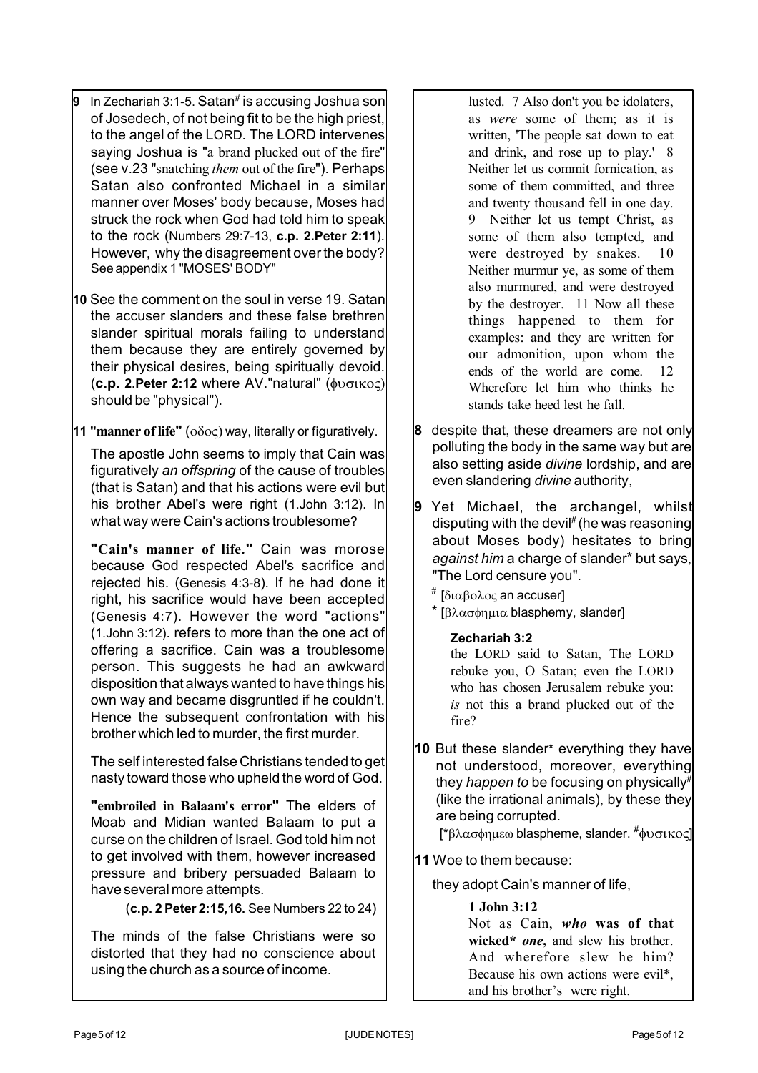- **9** In Zechariah 3:1-5. Satan<sup>#</sup> is accusing Joshua son of Josedech, of not being fit to be the high priest, to the angel of the LORD. The LORD intervenes saying Joshua is "a brand plucked out of the fire" (see v.23 "snatching *them* out of the fire"). Perhaps Satan also confronted Michael in a similar manner over Moses' body because, Moses had struck the rock when God had told him to speak to the rock (Numbers 29:7-13, **c.p. 2.Peter 2:11**). However, why the disagreement over the body? See appendix 1 "MOSES' BODY"
- **10** See the comment on the soul in verse 19. Satan the accuser slanders and these false brethren slander spiritual morals failing to understand them because they are entirely governed by their physical desires, being spiritually devoid. (**c.p. 2.Peter 2:12** where AV."natural" ( should be "physical").
- **11 "manner of life"** ( $\sigma \delta \sigma \varsigma$ ) way, literally or figuratively.

The apostle John seems to imply that Cain was figuratively *an offspring* of the cause of troubles (that is Satan) and that his actions were evil but his brother Abel's were right (1.John 3:12). In what way were Cain's actions troublesome?

**"Cain's manner of life."** Cain was morose because God respected Abel's sacrifice and rejected his. (Genesis 4:3-8). If he had done it right, his sacrifice would have been accepted (Genesis 4:7). However the word "actions" (1.John 3:12). refers to more than the one act of offering a sacrifice. Cain was a troublesome person. This suggests he had an awkward disposition that always wanted to have things his own way and became disgruntled if he couldn't. Hence the subsequent confrontation with his brother which led to murder, the first murder.

The self interested false Christians tended to get nasty toward those who upheld the word of God.

**"embroiled in Balaam's error"** The elders of Moab and Midian wanted Balaam to put a curse on the children of Israel. God told him not to get involved with them, however increased pressure and bribery persuaded Balaam to have several more attempts.

(**c.p. 2 Peter 2:15,16.** See Numbers 22 to 24)

The minds of the false Christians were so distorted that they had no conscience about using the church as a source of income.

lusted. 7 Also don't you be idolaters, as *were* some of them; as it is written, 'The people sat down to eat and drink, and rose up to play.' 8 Neither let us commit fornication, as some of them committed, and three and twenty thousand fell in one day. 9 Neither let us tempt Christ, as some of them also tempted, and were destroyed by snakes. 10 Neither murmur ye, as some of them also murmured, and were destroyed by the destroyer. 11 Now all these things happened to them for examples: and they are written for our admonition, upon whom the ends of the world are come. 12 Wherefore let him who thinks he stands take heed lest he fall.

- **8** despite that, these dreamers are not only polluting the body in the same way but are also setting aside *divine* lordship, and are even slandering *divine* authority,
- **9** Yet Michael, the archangel, whilst disputing with the devil<sup>#</sup> (he was reasoning about Moses body) hesitates to bring *against him* a charge of slander\* but says, "The Lord censure you".
	- # [διαβολος an accuser]
	- \*  $\lceil \beta \lambda \alpha \sigma \phi \eta \mu \alpha \rho \rangle$  blasphemy, slander
		- **Zechariah 3:2**

the LORD said to Satan, The LORD rebuke you, O Satan; even the LORD who has chosen Jerusalem rebuke you: *is* not this a brand plucked out of the fire?

**10** But these slander\* everything they have not understood, moreover, everything they *happen to* be focusing on physically# (like the irrational animals), by these they are being corrupted.

 $[^{\ast}β\lambdaασφημεω$  blaspheme, slander.  $^{\#}φυσικος]$ 

**11** Woe to them because:

they adopt Cain's manner of life,

### **1 John 3:12**

Not as Cain, *who* **was of that wicked\*** *one***,** and slew his brother. And wherefore slew he him? Because his own actions were evil\*, and his brother's were right.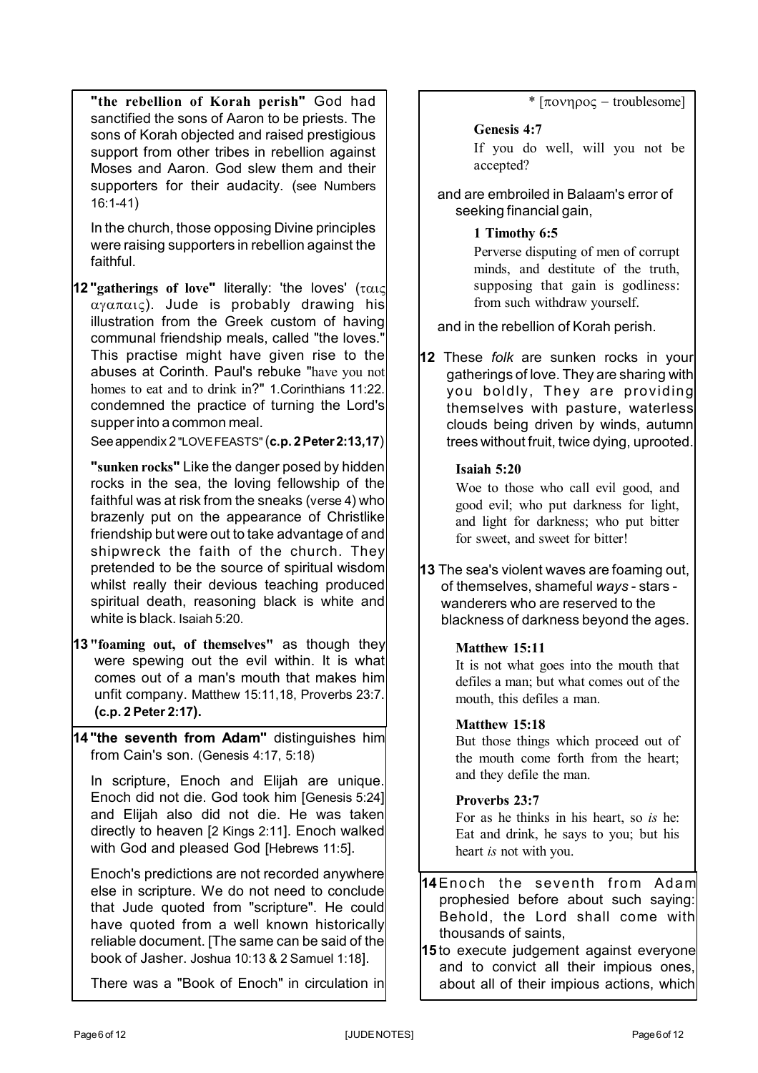**"the rebellion of Korah perish"** God had sanctified the sons of Aaron to be priests. The sons of Korah objected and raised prestigious support from other tribes in rebellion against Moses and Aaron. God slew them and their supporters for their audacity. (see Numbers 16:1-41)

In the church, those opposing Divine principles were raising supporters in rebellion against the faithful.

**12 "gatherings of love"** literally: 'the loves' (  $\alpha$ <sup>y</sup> $\alpha$  $\pi$  $\alpha$ <sub>1</sub> $\varsigma$ ). Jude is probably drawing his illustration from the Greek custom of having communal friendship meals, called "the loves." This practise might have given rise to the abuses at Corinth. Paul's rebuke "have you not homes to eat and to drink in?" 1.Corinthians 11:22. condemned the practice of turning the Lord's supper into a common meal.

See appendix 2 "LOVE FEASTS"(**c.p. 2 Peter 2:13,17**)

**"sunken rocks"** Like the danger posed by hidden rocks in the sea, the loving fellowship of the faithful was at risk from the sneaks (verse 4) who brazenly put on the appearance of Christlike friendship but were out to take advantage of and shipwreck the faith of the church. They pretended to be the source of spiritual wisdom whilst really their devious teaching produced spiritual death, reasoning black is white and white is black. Isaiah 5:20.

- **13 "foaming out, of themselves"** as though they were spewing out the evil within. It is what comes out of a man's mouth that makes him unfit company. Matthew 15:11,18, Proverbs 23:7. **(c.p. 2 Peter 2:17).**
- **14 "the seventh from Adam"** distinguishes him from Cain's son. (Genesis 4:17, 5:18)

In scripture, Enoch and Elijah are unique. Enoch did not die. God took him [Genesis 5:24] and Elijah also did not die. He was taken directly to heaven [2 Kings 2:11]. Enoch walked with God and pleased God [Hebrews 11:5].

Enoch's predictions are not recorded anywhere else in scripture. We do not need to conclude that Jude quoted from "scripture". He could have quoted from a well known historically reliable document. [The same can be said of the book of Jasher. Joshua 10:13 & 2 Samuel 1:18].

There was a "Book of Enoch" in circulation in

 $*$  [ $\pi$ ovn $\rho$ o $\varsigma$  – troublesome]

## **Genesis 4:7**

If you do well, will you not be accepted?

and are embroiled in Balaam's error of seeking financial gain,

# **1 Timothy 6:5**

Perverse disputing of men of corrupt minds, and destitute of the truth, supposing that gain is godliness: from such withdraw yourself.

and in the rebellion of Korah perish.

**12** These *folk* are sunken rocks in your gatherings of love. They are sharing with you boldly, They are providing themselves with pasture, waterless clouds being driven by winds, autumn trees without fruit, twice dying, uprooted.

## **Isaiah 5:20**

Woe to those who call evil good, and good evil; who put darkness for light, and light for darkness; who put bitter for sweet, and sweet for bitter!

**13** The sea's violent waves are foaming out, of themselves, shameful *ways* - stars wanderers who are reserved to the blackness of darkness beyond the ages.

### **Matthew 15:11**

It is not what goes into the mouth that defiles a man; but what comes out of the mouth, this defiles a man.

### **Matthew 15:18**

But those things which proceed out of the mouth come forth from the heart; and they defile the man.

# **Proverbs 23:7**

For as he thinks in his heart, so *is* he: Eat and drink, he says to you; but his heart *is* not with you.

**14**Enoch the seventh from Adam prophesied before about such saying: Behold, the Lord shall come with thousands of saints,

**15** to execute judgement against everyone and to convict all their impious ones, about all of their impious actions, which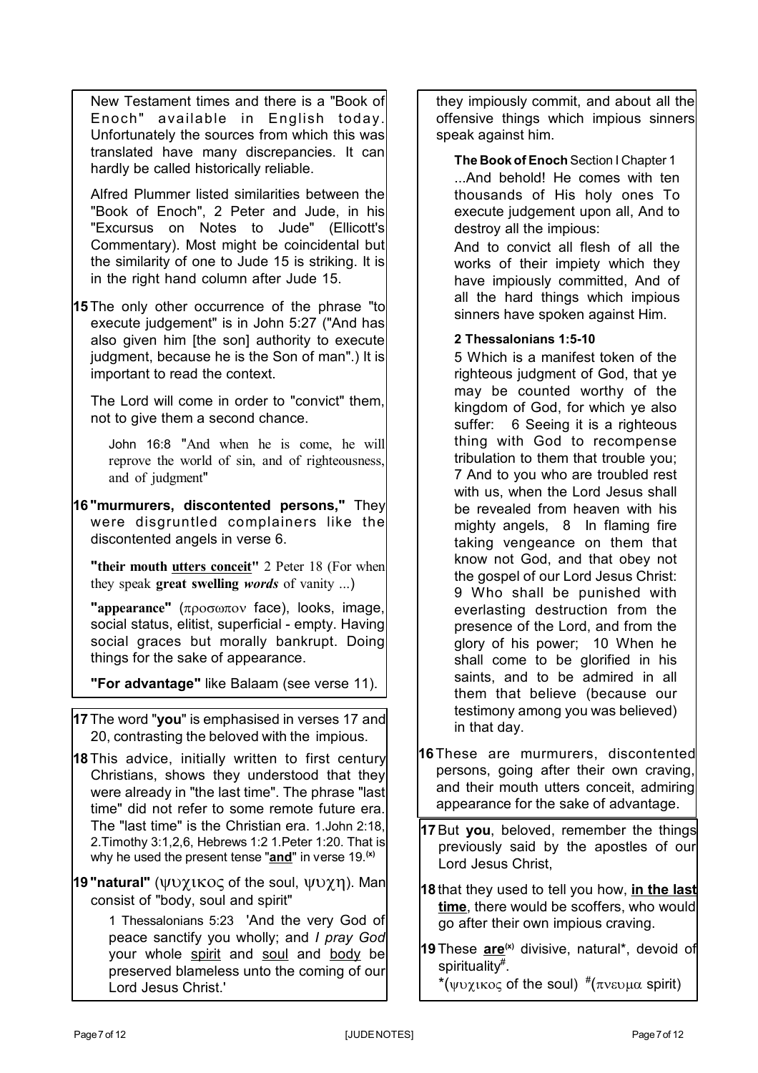New Testament times and there is a "Book of Enoch" available in English today. Unfortunately the sources from which this was translated have many discrepancies. It can hardly be called historically reliable.

Alfred Plummer listed similarities between the "Book of Enoch", 2 Peter and Jude, in his "Excursus on Notes to Jude" (Ellicott's Commentary). Most might be coincidental but the similarity of one to Jude 15 is striking. It is in the right hand column after Jude 15.

**15**The only other occurrence of the phrase "to execute judgement" is in John 5:27 ("And has also given him [the son] authority to execute judgment, because he is the Son of man".) It is important to read the context.

The Lord will come in order to "convict" them, not to give them a second chance.

John 16:8 "And when he is come, he will reprove the world of sin, and of righteousness, and of judgment"

**16 "murmurers, discontented persons,"** They were disgruntled complainers like the discontented angels in verse 6.

**"their mouth utters conceit"** 2 Peter 18 (For when they speak **great swelling** *words* of vanity ...)

**"appearance"** (προσωπον face), looks, image, social status, elitist, superficial - empty. Having social graces but morally bankrupt. Doing things for the sake of appearance.

**"For advantage"** like Balaam (see verse 11).

- **17**The word "**you**" is emphasised in verses 17 and 20, contrasting the beloved with the impious.
- **18**This advice, initially written to first century Christians, shows they understood that they were already in "the last time". The phrase "last time" did not refer to some remote future era. The "last time" is the Christian era. 1.John 2:18, 2.Timothy 3:1,2,6, Hebrews 1:2 1.Peter 1:20. That is why he used the present tense "**and**" in verse 19.**(x)**
- **19 "natural"** (ψυχικος of the soul, ψυχη). Man consist of "body, soul and spirit"

1 Thessalonians 5:23 'And the very God of peace sanctify you wholly; and *I pray God* your whole spirit and soul and body be preserved blameless unto the coming of our Lord Jesus Christ.'

they impiously commit, and about all the offensive things which impious sinners speak against him.

**The Book of Enoch** Section I Chapter 1 ...And behold! He comes with ten thousands of His holy ones To execute judgement upon all, And to destroy all the impious:

And to convict all flesh of all the works of their impiety which they have impiously committed, And of all the hard things which impious sinners have spoken against Him.

**2 Thessalonians 1:5-10**

5 Which is a manifest token of the righteous judgment of God, that ye may be counted worthy of the kingdom of God, for which ye also suffer: 6 Seeing it is a righteous thing with God to recompense tribulation to them that trouble you; 7 And to you who are troubled rest with us, when the Lord Jesus shall be revealed from heaven with his mighty angels, 8 In flaming fire taking vengeance on them that know not God, and that obey not the gospel of our Lord Jesus Christ: 9 Who shall be punished with everlasting destruction from the presence of the Lord, and from the glory of his power; 10 When he shall come to be glorified in his saints, and to be admired in all them that believe (because our testimony among you was believed) in that day.

- **16**These are murmurers, discontented persons, going after their own craving, and their mouth utters conceit, admiring appearance for the sake of advantage.
- **17**But **you**, beloved, remember the things previously said by the apostles of our Lord Jesus Christ,
- **18** that they used to tell you how, **in the last time**, there would be scoffers, who would go after their own impious craving.
- **19**These **are(x)** divisive, natural\*, devoid of spirituality# .

\* (ψυχικος of the soul)  $\pi$  (πνευμα spirit)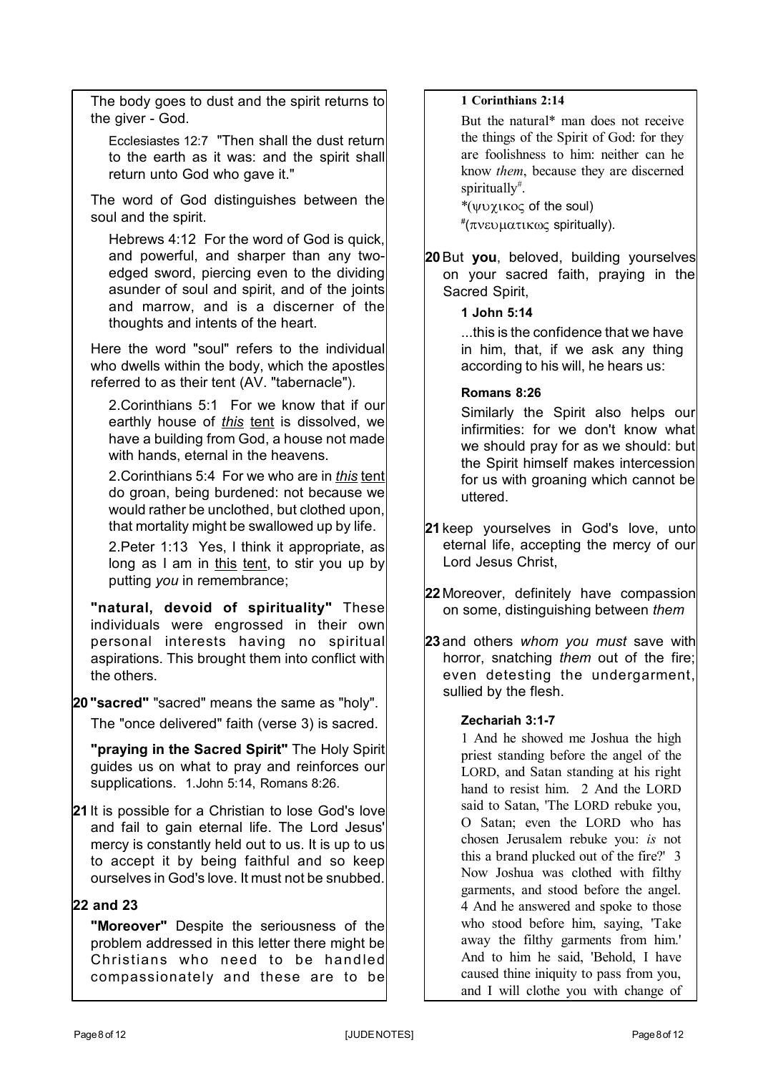The body goes to dust and the spirit returns to the giver - God.

Ecclesiastes 12:7 "Then shall the dust return to the earth as it was: and the spirit shall return unto God who gave it."

The word of God distinguishes between the soul and the spirit.

Hebrews 4:12 For the word of God is quick, and powerful, and sharper than any twoedged sword, piercing even to the dividing asunder of soul and spirit, and of the joints and marrow, and is a discerner of the thoughts and intents of the heart.

Here the word "soul" refers to the individual who dwells within the body, which the apostles referred to as their tent (AV. "tabernacle").

2.Corinthians 5:1 For we know that if our earthly house of *this* tent is dissolved, we have a building from God, a house not made with hands, eternal in the heavens.

2.Corinthians 5:4 For we who are in *this* tent do groan, being burdened: not because we would rather be unclothed, but clothed upon, that mortality might be swallowed up by life.

2.Peter 1:13 Yes, I think it appropriate, as long as I am in this tent, to stir you up by putting *you* in remembrance;

**"natural, devoid of spirituality"** These individuals were engrossed in their own personal interests having no spiritual aspirations. This brought them into conflict with the others.

# **20 "sacred"** "sacred" means the same as "holy". The "once delivered" faith (verse 3) is sacred.

**"praying in the Sacred Spirit"** The Holy Spirit guides us on what to pray and reinforces our supplications. 1.John 5:14, Romans 8:26.

**21** It is possible for a Christian to lose God's love and fail to gain eternal life. The Lord Jesus' mercy is constantly held out to us. It is up to us to accept it by being faithful and so keep ourselves in God's love. It must not be snubbed.

# **22 and 23**

**"Moreover"** Despite the seriousness of the problem addressed in this letter there might be Christians who need to be handled compassionately and these are to be

# **1 Corinthians 2:14**

But the natural\* man does not receive the things of the Spirit of God: for they are foolishness to him: neither can he know *them*, because they are discerned spiritually# .

 $*(\psi \nu \chi \kappa o \varsigma)$  of the soul) #(πνευματικως spiritually).

**20**But **you**, beloved, building yourselves on your sacred faith, praying in the Sacred Spirit,

# **1 John 5:14**

...this is the confidence that we have in him, that, if we ask any thing according to his will, he hears us:

**Romans 8:26**

Similarly the Spirit also helps our infirmities: for we don't know what we should pray for as we should: but the Spirit himself makes intercession for us with groaning which cannot be uttered.

- **21** keep yourselves in God's love, unto eternal life, accepting the mercy of our Lord Jesus Christ,
- **22** Moreover, definitely have compassion on some, distinguishing between *them*

**23** and others *whom you must* save with horror, snatching *them* out of the fire; even detesting the undergarment, sullied by the flesh.

# **Zechariah 3:1-7**

1 And he showed me Joshua the high priest standing before the angel of the LORD, and Satan standing at his right hand to resist him. 2 And the LORD said to Satan, 'The LORD rebuke you, O Satan; even the LORD who has chosen Jerusalem rebuke you: *is* not this a brand plucked out of the fire?' 3 Now Joshua was clothed with filthy garments, and stood before the angel. 4 And he answered and spoke to those who stood before him, saying, 'Take away the filthy garments from him.' And to him he said, 'Behold, I have caused thine iniquity to pass from you, and I will clothe you with change of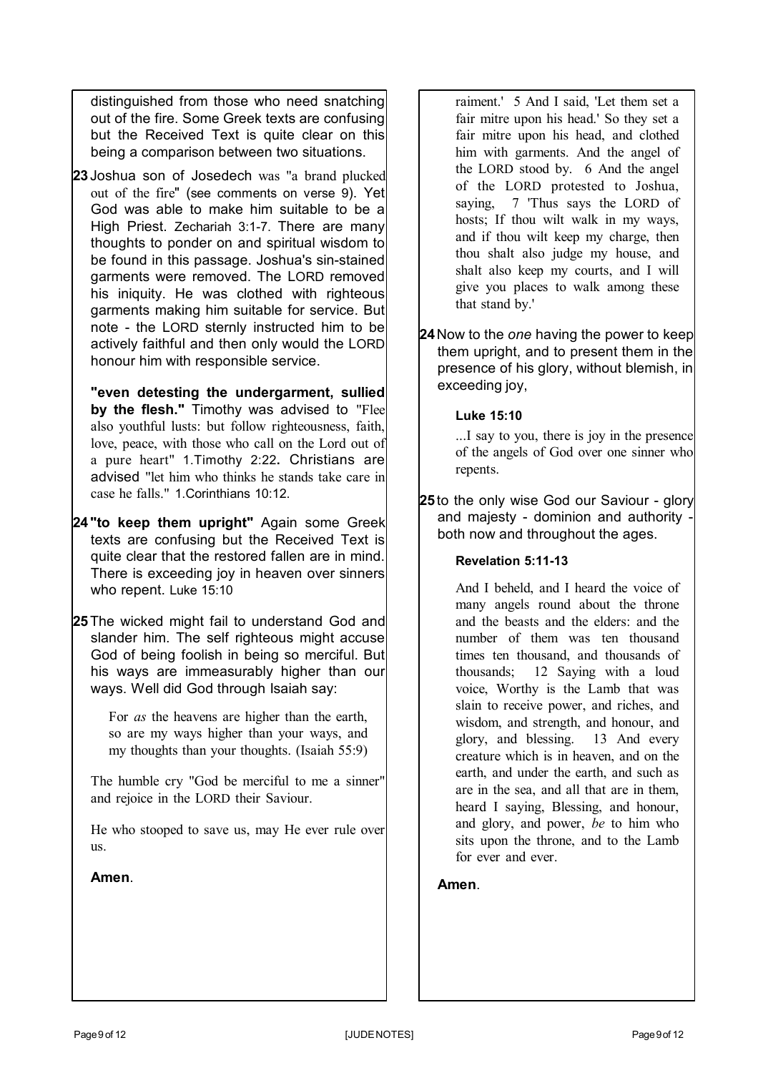distinguished from those who need snatching out of the fire. Some Greek texts are confusing but the Received Text is quite clear on this being a comparison between two situations.

**23** Joshua son of Josedech was "a brand plucked out of the fire" (see comments on verse 9). Yet God was able to make him suitable to be a High Priest. Zechariah 3:1-7. There are many thoughts to ponder on and spiritual wisdom to be found in this passage. Joshua's sin-stained garments were removed. The LORD removed his iniquity. He was clothed with righteous garments making him suitable for service. But note - the LORD sternly instructed him to be actively faithful and then only would the LORD honour him with responsible service.

**"even detesting the undergarment, sullied by the flesh."** Timothy was advised to "Flee also youthful lusts: but follow righteousness, faith, love, peace, with those who call on the Lord out of a pure heart" 1.Timothy 2:22**.** Christians are advised "let him who thinks he stands take care in case he falls." 1.Corinthians 10:12.

- **24 "to keep them upright"** Again some Greek texts are confusing but the Received Text is quite clear that the restored fallen are in mind. There is exceeding joy in heaven over sinners who repent. Luke 15:10
- **25**The wicked might fail to understand God and slander him. The self righteous might accuse God of being foolish in being so merciful. But his ways are immeasurably higher than our ways. Well did God through Isaiah say:

For *as* the heavens are higher than the earth, so are my ways higher than your ways, and my thoughts than your thoughts. (Isaiah 55:9)

The humble cry "God be merciful to me a sinner" and rejoice in the LORD their Saviour.

He who stooped to save us, may He ever rule over us.

**Amen**.

raiment.' 5 And I said, 'Let them set a fair mitre upon his head.' So they set a fair mitre upon his head, and clothed him with garments. And the angel of the LORD stood by. 6 And the angel of the LORD protested to Joshua, saying, 7 'Thus says the LORD of hosts; If thou wilt walk in my ways, and if thou wilt keep my charge, then thou shalt also judge my house, and shalt also keep my courts, and I will give you places to walk among these that stand by.'

**24**Now to the *one* having the power to keep them upright, and to present them in the presence of his glory, without blemish, in exceeding joy,

## **Luke 15:10**

...I say to you, there is joy in the presence of the angels of God over one sinner who repents.

**25** to the only wise God our Saviour - glory and majesty - dominion and authority both now and throughout the ages.

### **Revelation 5:11-13**

And I beheld, and I heard the voice of many angels round about the throne and the beasts and the elders: and the number of them was ten thousand times ten thousand, and thousands of thousands; 12 Saying with a loud voice, Worthy is the Lamb that was slain to receive power, and riches, and wisdom, and strength, and honour, and glory, and blessing. 13 And every creature which is in heaven, and on the earth, and under the earth, and such as are in the sea, and all that are in them, heard I saying, Blessing, and honour, and glory, and power, *be* to him who sits upon the throne, and to the Lamb for ever and ever.

**Amen**.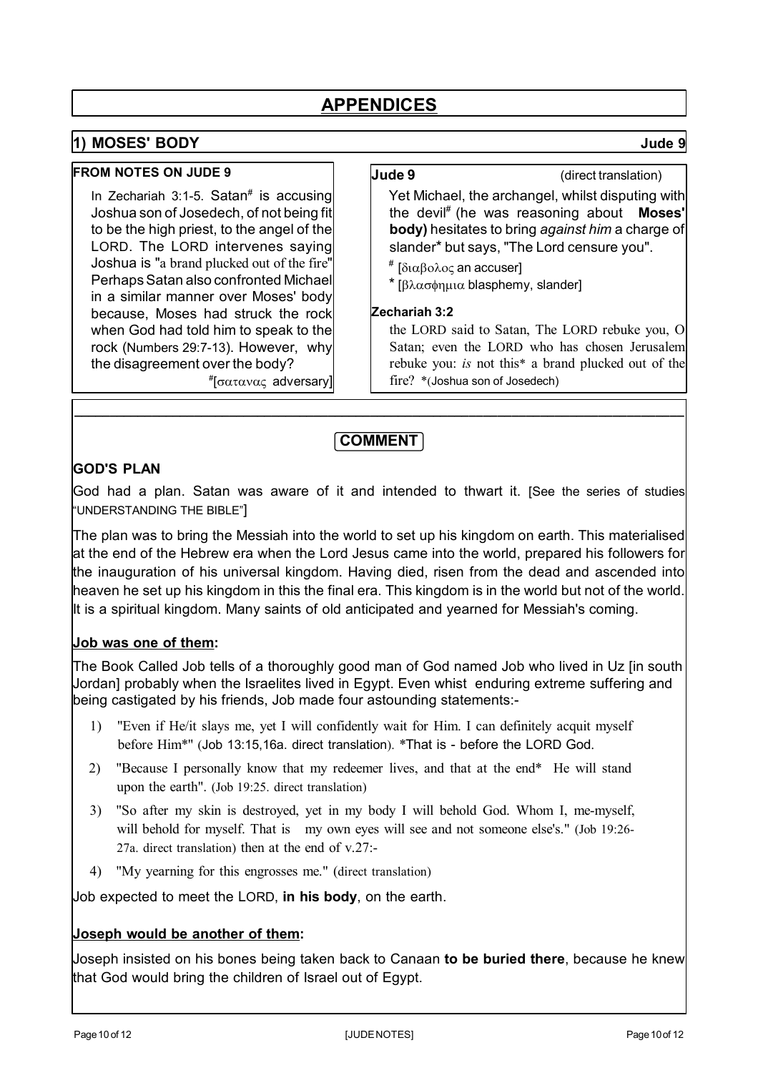# **1) MOSES' BODY Jude 9**

#### **FROM NOTES ON JUDE 9**

In Zechariah 3:1-5. Satan<sup>#</sup> is accusing Joshua son of Josedech, of not being fit to be the high priest, to the angel of the LORD. The LORD intervenes saying Joshua is "a brand plucked out of the fire" Perhaps Satan also confronted Michael in a similar manner over Moses' body because, Moses had struck the rock when God had told him to speak to the rock (Numbers 29:7-13). However, why the disagreement over the body?

**Jude 9** (direct translation)

Yet Michael, the archangel, whilst disputing with the devil# (he was reasoning about **Moses' body)** hesitates to bring *against him* a charge of slander\* but says, "The Lord censure you".

- # [διαβολος an accuser]
- \*  $\lceil \beta \lambda \alpha \sigma \phi \eta \mu \alpha \rho \rangle$  blasphemy, slander

### **Zechariah 3:2**

the LORD said to Satan, The LORD rebuke you, O Satan; even the LORD who has chosen Jerusalem rebuke you: *is* not this\* a brand plucked out of the fire? \*(Joshua son of Josedech)

#[σατανας adversary]

# **COMMENT**

**\_\_\_\_\_\_\_\_\_\_\_\_\_\_\_\_\_\_\_\_\_\_\_\_\_\_\_\_\_\_\_\_\_\_\_\_\_\_\_\_\_\_\_\_\_\_\_\_\_\_\_\_\_\_\_\_\_\_\_\_\_\_\_\_\_\_\_\_\_\_\_\_\_\_\_\_\_\_\_\_\_\_\_\_\_\_**

# **GOD'S PLAN**

God had a plan. Satan was aware of it and intended to thwart it. [See the series of studies "UNDERSTANDING THE BIBLE"]

The plan was to bring the Messiah into the world to set up his kingdom on earth. This materialised at the end of the Hebrew era when the Lord Jesus came into the world, prepared his followers for the inauguration of his universal kingdom. Having died, risen from the dead and ascended into heaven he set up his kingdom in this the final era. This kingdom is in the world but not of the world. It is a spiritual kingdom. Many saints of old anticipated and yearned for Messiah's coming.

# **Job was one of them:**

The Book Called Job tells of a thoroughly good man of God named Job who lived in Uz [in south Jordan] probably when the Israelites lived in Egypt. Even whist enduring extreme suffering and being castigated by his friends, Job made four astounding statements:-

- 1) "Even if He/it slays me, yet I will confidently wait for Him. I can definitely acquit myself before Him\*" (Job 13:15,16a. direct translation). \*That is - before the LORD God.
- 2) "Because I personally know that my redeemer lives, and that at the end\* He will stand upon the earth". (Job 19:25. direct translation)
- 3) "So after my skin is destroyed, yet in my body I will behold God. Whom I, me-myself, will behold for myself. That is my own eyes will see and not someone else's." (Job 19:26-27a. direct translation) then at the end of v.27:-
- 4) "My yearning for this engrosses me." (direct translation)

Job expected to meet the LORD, **in his body**, on the earth.

### **Joseph would be another of them:**

Joseph insisted on his bones being taken back to Canaan **to be buried there**, because he knew that God would bring the children of Israel out of Egypt.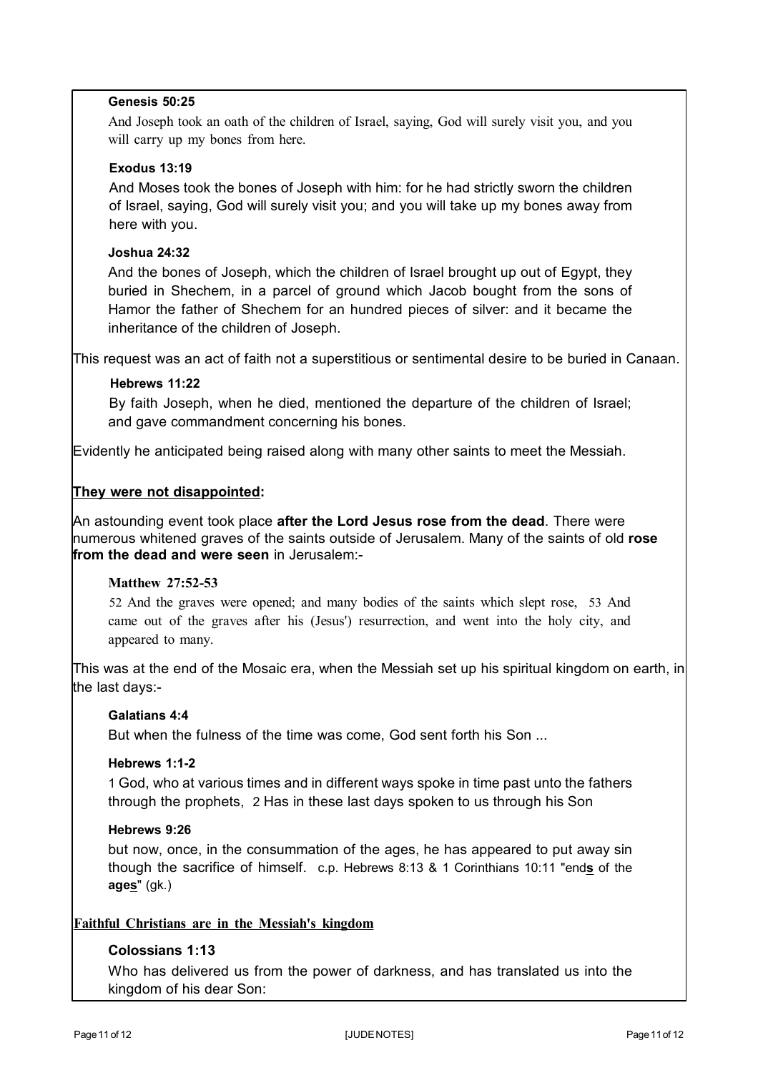#### **Genesis 50:25**

And Joseph took an oath of the children of Israel, saying, God will surely visit you, and you will carry up my bones from here.

#### **Exodus 13:19**

And Moses took the bones of Joseph with him: for he had strictly sworn the children of Israel, saying, God will surely visit you; and you will take up my bones away from here with you.

#### **Joshua 24:32**

And the bones of Joseph, which the children of Israel brought up out of Egypt, they buried in Shechem, in a parcel of ground which Jacob bought from the sons of Hamor the father of Shechem for an hundred pieces of silver: and it became the inheritance of the children of Joseph.

This request was an act of faith not a superstitious or sentimental desire to be buried in Canaan.

#### **Hebrews 11:22**

By faith Joseph, when he died, mentioned the departure of the children of Israel; and gave commandment concerning his bones.

Evidently he anticipated being raised along with many other saints to meet the Messiah.

### **They were not disappointed:**

An astounding event took place **after the Lord Jesus rose from the dead**. There were numerous whitened graves of the saints outside of Jerusalem. Many of the saints of old **rose from the dead and were seen** in Jerusalem:-

#### **Matthew 27:52-53**

52 And the graves were opened; and many bodies of the saints which slept rose, 53 And came out of the graves after his (Jesus') resurrection, and went into the holy city, and appeared to many.

This was at the end of the Mosaic era, when the Messiah set up his spiritual kingdom on earth, in the last days:-

#### **Galatians 4:4**

But when the fulness of the time was come, God sent forth his Son ...

#### **Hebrews 1:1-2**

1 God, who at various times and in different ways spoke in time past unto the fathers through the prophets, 2 Has in these last days spoken to us through his Son

#### **Hebrews 9:26**

but now, once, in the consummation of the ages, he has appeared to put away sin though the sacrifice of himself. c.p. Hebrews 8:13 & 1 Corinthians 10:11 "end**s** of the **ages**" (gk.)

### **Faithful Christians are in the Messiah's kingdom**

## **Colossians 1:13**

Who has delivered us from the power of darkness, and has translated us into the kingdom of his dear Son: